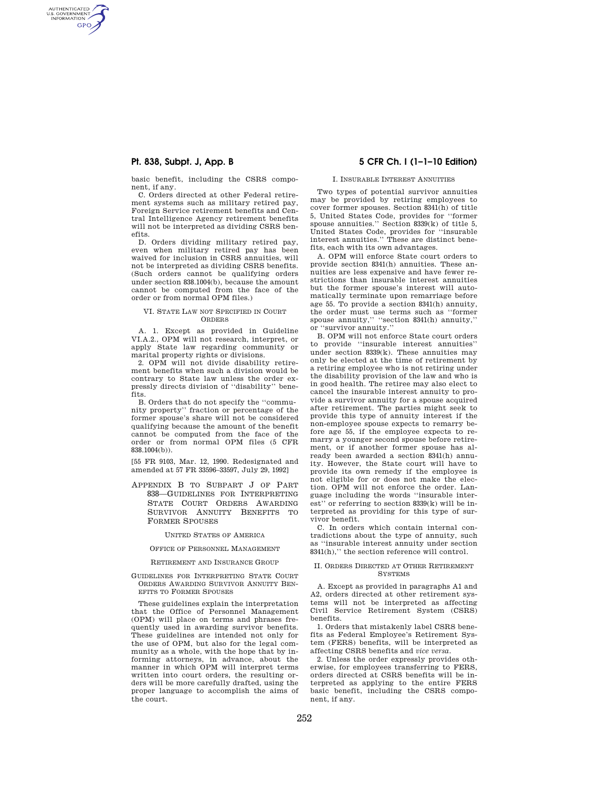AUTHENTICATED<br>U.S. GOVERNMENT<br>INFORMATION **GPO** 

> basic benefit, including the CSRS component, if any.

> C. Orders directed at other Federal retirement systems such as military retired pay, Foreign Service retirement benefits and Central Intelligence Agency retirement benefits will not be interpreted as dividing CSRS benefits.

> D. Orders dividing military retired pay, even when military retired pay has been waived for inclusion in CSRS annuities, will not be interpreted as dividing CSRS benefits. (Such orders cannot be qualifying orders under section 838.1004(b), because the amount cannot be computed from the face of the order or from normal OPM files.)

### VI. STATE LAW NOT SPECIFIED IN COURT ORDERS

A. 1. Except as provided in Guideline VI.A.2., OPM will not research, interpret, or apply State law regarding community or marital property rights or divisions.

2. OPM will not divide disability retirement benefits when such a division would be contrary to State law unless the order expressly directs division of ''disability'' benefits.

B. Orders that do not specify the ''community property'' fraction or percentage of the former spouse's share will not be considered qualifying because the amount of the benefit cannot be computed from the face of the order or from normal OPM files (5 CFR 838.1004(b)).

[55 FR 9103, Mar. 12, 1990. Redesignated and amended at 57 FR 33596–33597, July 29, 1992]

APPENDIX B TO SUBPART J OF PART 838—GUIDELINES FOR INTERPRETING STATE COURT ORDERS AWARDING SURVIVOR ANNUITY BENEFITS TO FORMER SPOUSES

UNITED STATES OF AMERICA

## OFFICE OF PERSONNEL MANAGEMENT

#### RETIREMENT AND INSURANCE GROUP

GUIDELINES FOR INTERPRETING STATE COURT ORDERS AWARDING SURVIVOR ANNUITY BEN-EFITS TO FORMER SPOUSES

These guidelines explain the interpretation that the Office of Personnel Management (OPM) will place on terms and phrases frequently used in awarding survivor benefits. These guidelines are intended not only for the use of OPM, but also for the legal community as a whole, with the hope that by informing attorneys, in advance, about the manner in which OPM will interpret terms written into court orders, the resulting orders will be more carefully drafted, using the proper language to accomplish the aims of the court.

# **Pt. 838, Subpt. J, App. B 5 CFR Ch. I (1–1–10 Edition)**

#### I. INSURABLE INTEREST ANNUITIES

Two types of potential survivor annuities may be provided by retiring employees to cover former spouses. Section 8341(h) of title 5, United States Code, provides for ''former spouse annuities.'' Section 8339(k) of title 5, United States Code, provides for ''insurable interest annuities.'' These are distinct benefits, each with its own advantages.

A. OPM will enforce State court orders to provide section 8341(h) annuities. These annuities are less expensive and have fewer restrictions than insurable interest annuities but the former spouse's interest will automatically terminate upon remarriage before age 55. To provide a section 8341(h) annuity, the order must use terms such as ''former spouse annuity," "section 8341(h) annuity," or ''survivor annuity.''

B. OPM will not enforce State court orders to provide ''insurable interest annuities'' under section 8339(k). These annuities may only be elected at the time of retirement by a retiring employee who is not retiring under the disability provision of the law and who is in good health. The retiree may also elect to cancel the insurable interest annuity to provide a survivor annuity for a spouse acquired after retirement. The parties might seek to provide this type of annuity interest if the non-employee spouse expects to remarry before age 55, if the employee expects to remarry a younger second spouse before retirement, or if another former spouse has already been awarded a section 8341(h) annuity. However, the State court will have to provide its own remedy if the employee is not eligible for or does not make the election. OPM will not enforce the order. Language including the words ''insurable interest'' or referring to section 8339(k) will be interpreted as providing for this type of survivor benefit.

C. In orders which contain internal contradictions about the type of annuity, such as ''insurable interest annuity under section 8341(h),'' the section reference will control.

#### II. ORDERS DIRECTED AT OTHER RETIREMENT **SYSTEMS**

A. Except as provided in paragraphs A1 and A2, orders directed at other retirement systems will not be interpreted as affecting Civil Service Retirement System (CSRS) benefits.

1. Orders that mistakenly label CSRS benefits as Federal Employee's Retirement System (FERS) benefits, will be interpreted as affecting CSRS benefits and *vice versa.* 

2. Unless the order expressly provides otherwise, for employees transferring to FERS, orders directed at CSRS benefits will be interpreted as applying to the entire FERS basic benefit, including the CSRS component, if any.